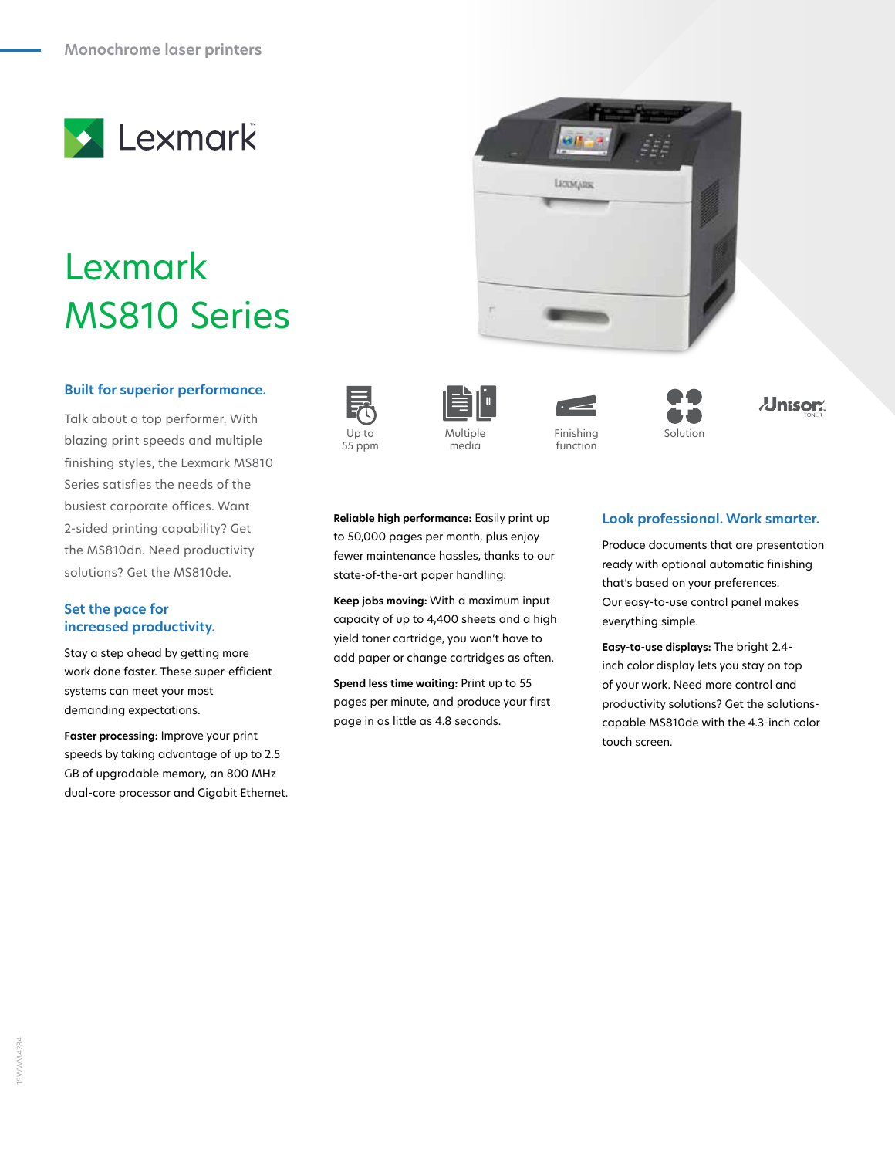

# Lexmark MS810 Series

## **Built for superior performance.**

Talk about a top performer. With blazing print speeds and multiple finishing styles, the Lexmark MS810 Series satisfies the needs of the busiest corporate offices. Want 2-sided printing capability? Get the MS810dn. Need productivity solutions? Get the MS810de. color ultiple Up to Multiple this Finishing Solution Solution

#### **Set the pace for increased productivity.**

Stay a step ahead by getting more work done faster. These super‑efficient systems can meet your most demanding expectations.

**Faster processing:** Improve your print speeds by taking advantage of up to 2.5 GB of upgradable memory, an 800 MHz dual-core processor and Gigabit Ethernet.









Up to Solution Up to 350 Multiple 35 Pinishing Security U function





**Reliable high performance:** Easily print up to 50,000 pages per month, plus enjoy fewer maintenance hassles, thanks to our state-of-the-art paper handling.

**Keep jobs moving:** With a maximum input capacity of up to 4,400 sheets and a high yield toner cartridge, you won't have to add paper or change cartridges as often.

**Spend less time waiting:** Print up to 55 pages per minute, and produce your first page in as little as 4.8 seconds.

# **Look professional. Work smarter.**

Produce documents that are presentation ready with optional automatic finishing that's based on your preferences. Our easy‑to-use control panel makes everything simple.

**Easy-to-use displays:** The bright 2.4 inch color display lets you stay on top of your work. Need more control and productivity solutions? Get the solutionscapable MS810de with the 4.3-inch color touch screen.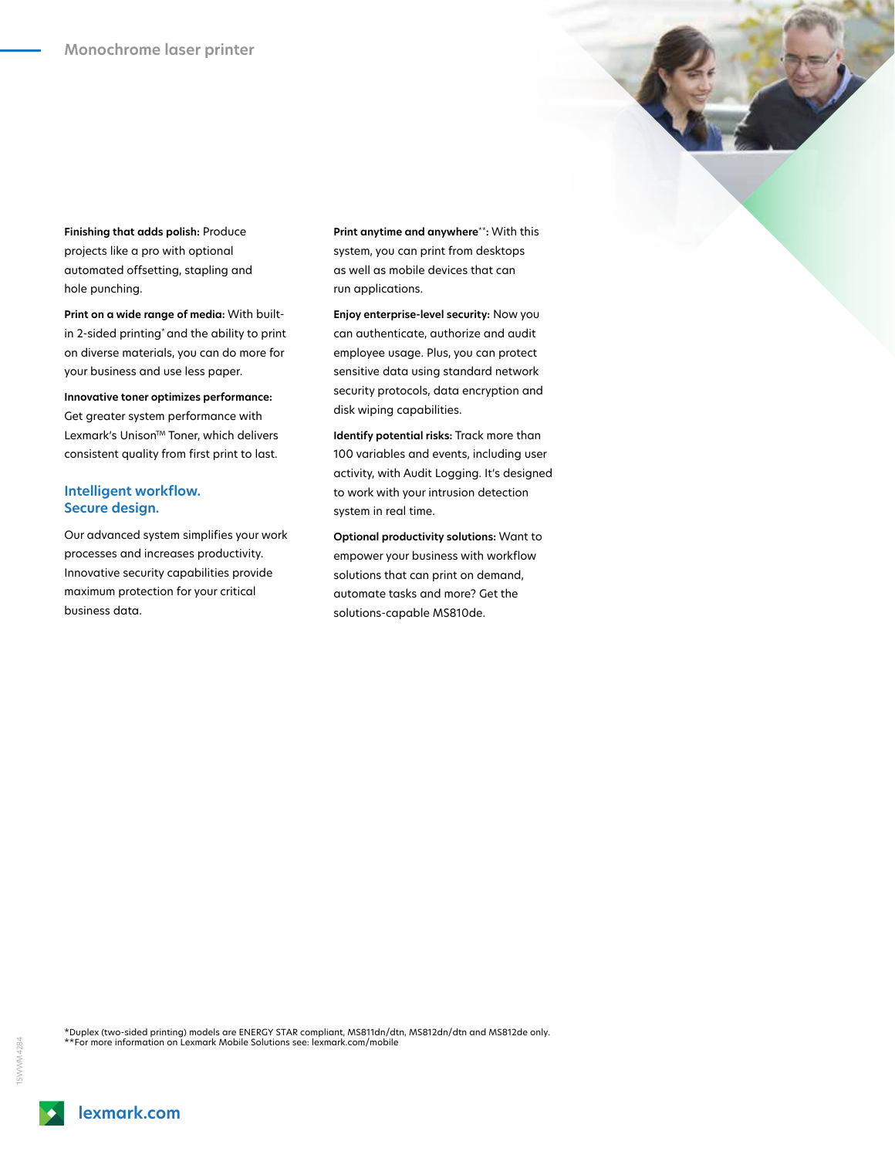**Finishing that adds polish:** Produce projects like a pro with optional automated offsetting, stapling and hole punching.

**Print on a wide range of media:** With builtin 2-sided printing\* and the ability to print on diverse materials, you can do more for your business and use less paper.

**Innovative toner optimizes performance:** Get greater system performance with Lexmark's Unison™ Toner, which delivers consistent quality from first print to last.

## **Intelligent workflow. Secure design.**

Our advanced system simplifies your work processes and increases productivity. Innovative security capabilities provide maximum protection for your critical business data.

**Print anytime and anywhere**\*\***:** With this system, you can print from desktops as well as mobile devices that can run applications.

**Enjoy enterprise-level security:** Now you can authenticate, authorize and audit employee usage. Plus, you can protect sensitive data using standard network security protocols, data encryption and disk wiping capabilities.

**Identify potential risks:** Track more than 100 variables and events, including user activity, with Audit Logging. It's designed to work with your intrusion detection system in real time.

**Optional productivity solutions:** Want to empower your business with workflow solutions that can print on demand, automate tasks and more? Get the solutions‑capable MS810de.

\*Duplex (two-sided printing) models are ENERGY STAR compliant, MS811dn/dtn, MS812dn/dtn and MS812de only. \*\*For more information on Lexmark Mobile Solutions see: lexmark.com/mobile